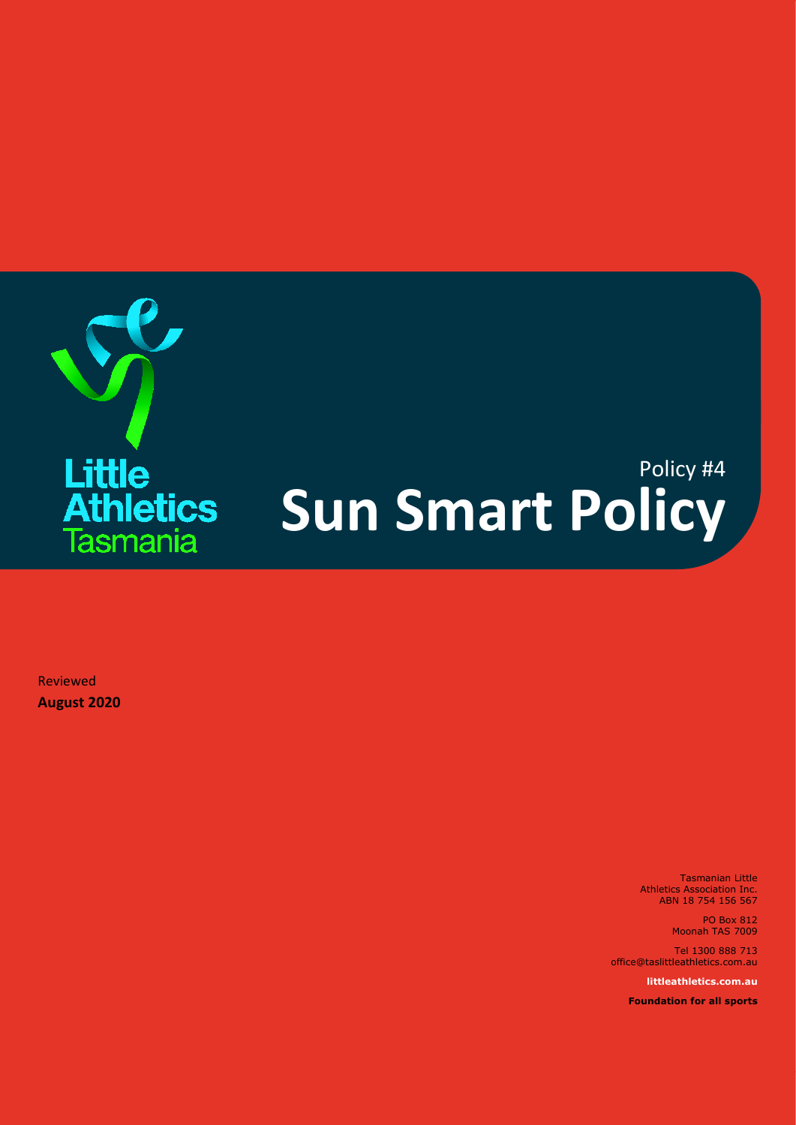

## Policy #4 **Sun Smart Policy**

Reviewed **August 2020**

> Tasmanian Little Athletics Association Inc. ABN 18 754 156 567

> > PO Box 812 Moonah TAS 7009

Tel 1300 888 713 office@taslittleathletics.com.au

**littleathletics.com.au**

**Foundation for all sports**